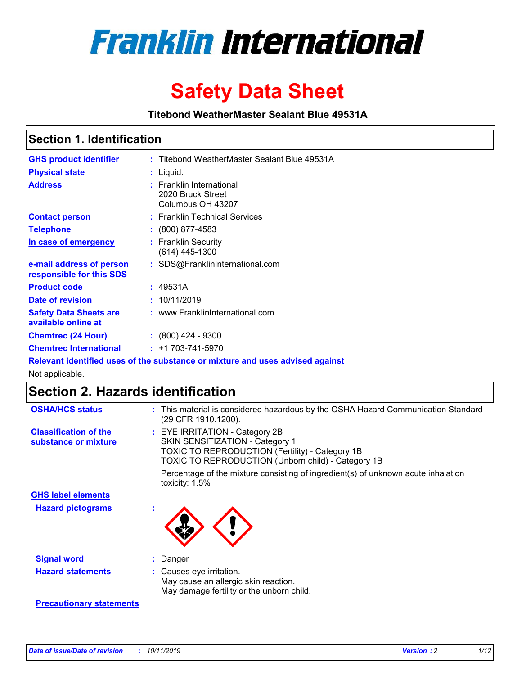

# **Safety Data Sheet**

**Titebond WeatherMaster Sealant Blue 49531A**

### **Section 1. Identification**

| <b>GHS product identifier</b>                        | : Titebond WeatherMaster Sealant Blue 49531A                                  |
|------------------------------------------------------|-------------------------------------------------------------------------------|
| <b>Physical state</b>                                | : Liquid.                                                                     |
| <b>Address</b>                                       | : Franklin International<br>2020 Bruck Street<br>Columbus OH 43207            |
| <b>Contact person</b>                                | : Franklin Technical Services                                                 |
| <b>Telephone</b>                                     | $\colon$ (800) 877-4583                                                       |
| In case of emergency                                 | : Franklin Security<br>(614) 445-1300                                         |
| e-mail address of person<br>responsible for this SDS | : SDS@FranklinInternational.com                                               |
| <b>Product code</b>                                  | : 49531A                                                                      |
| Date of revision                                     | : 10/11/2019                                                                  |
| <b>Safety Data Sheets are</b><br>available online at | : www.FranklinInternational.com                                               |
| <b>Chemtrec (24 Hour)</b>                            | $\div$ (800) 424 - 9300                                                       |
| <b>Chemtrec International</b>                        | $: +1703 - 741 - 5970$                                                        |
|                                                      | Relevant identified uses of the substance or mixture and uses advised against |

Not applicable.

## **Section 2. Hazards identification**

| <b>OSHA/HCS status</b>                               | : This material is considered hazardous by the OSHA Hazard Communication Standard<br>(29 CFR 1910.1200).                                                                          |
|------------------------------------------------------|-----------------------------------------------------------------------------------------------------------------------------------------------------------------------------------|
| <b>Classification of the</b><br>substance or mixture | : EYE IRRITATION - Category 2B<br>SKIN SENSITIZATION - Category 1<br><b>TOXIC TO REPRODUCTION (Fertility) - Category 1B</b><br>TOXIC TO REPRODUCTION (Unborn child) - Category 1B |
|                                                      | Percentage of the mixture consisting of ingredient(s) of unknown acute inhalation<br>toxicity: $1.5\%$                                                                            |
| <b>GHS label elements</b>                            |                                                                                                                                                                                   |
| <b>Hazard pictograms</b>                             |                                                                                                                                                                                   |
| <b>Signal word</b>                                   | : Danger                                                                                                                                                                          |
| <b>Hazard statements</b>                             | : Causes eye irritation.<br>May cause an allergic skin reaction.<br>May damage fertility or the unborn child.                                                                     |
| <b>Precautionary statements</b>                      |                                                                                                                                                                                   |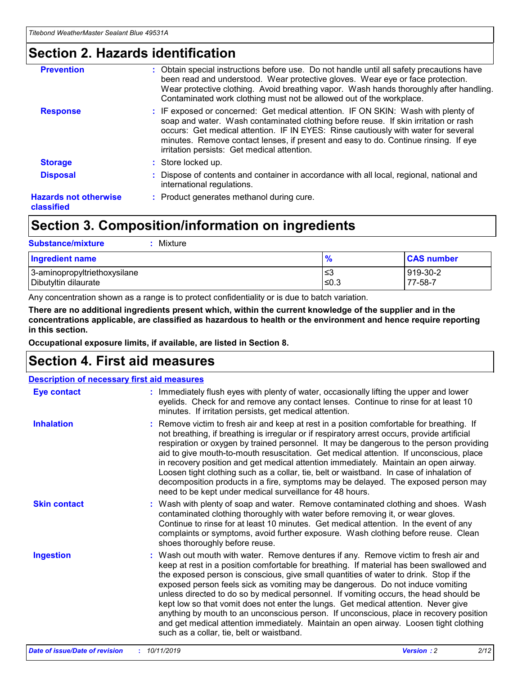### **Section 2. Hazards identification**

| <b>Prevention</b>                          | : Obtain special instructions before use. Do not handle until all safety precautions have<br>been read and understood. Wear protective gloves. Wear eye or face protection.<br>Wear protective clothing. Avoid breathing vapor. Wash hands thoroughly after handling.<br>Contaminated work clothing must not be allowed out of the workplace.                                                        |
|--------------------------------------------|------------------------------------------------------------------------------------------------------------------------------------------------------------------------------------------------------------------------------------------------------------------------------------------------------------------------------------------------------------------------------------------------------|
| <b>Response</b>                            | : IF exposed or concerned: Get medical attention. IF ON SKIN: Wash with plenty of<br>soap and water. Wash contaminated clothing before reuse. If skin irritation or rash<br>occurs: Get medical attention. IF IN EYES: Rinse cautiously with water for several<br>minutes. Remove contact lenses, if present and easy to do. Continue rinsing. If eye<br>irritation persists: Get medical attention. |
| <b>Storage</b>                             | : Store locked up.                                                                                                                                                                                                                                                                                                                                                                                   |
| <b>Disposal</b>                            | : Dispose of contents and container in accordance with all local, regional, national and<br>international regulations.                                                                                                                                                                                                                                                                               |
| <b>Hazards not otherwise</b><br>classified | : Product generates methanol during cure.                                                                                                                                                                                                                                                                                                                                                            |
|                                            |                                                                                                                                                                                                                                                                                                                                                                                                      |

### **Section 3. Composition/information on ingredients**

| <b>Substance/mixture</b><br>Mixture                  |                   |                     |
|------------------------------------------------------|-------------------|---------------------|
| Ingredient name                                      | $\frac{9}{6}$     | <b>CAS number</b>   |
| 3-aminopropyltriethoxysilane<br>Dibutyltin dilaurate | l≤3<br>$\leq 0.3$ | 919-30-2<br>77-58-7 |

Any concentration shown as a range is to protect confidentiality or is due to batch variation.

**There are no additional ingredients present which, within the current knowledge of the supplier and in the concentrations applicable, are classified as hazardous to health or the environment and hence require reporting in this section.**

**Occupational exposure limits, if available, are listed in Section 8.**

### **Section 4. First aid measures**

| <b>Description of necessary first aid measures</b> |                                                                                                                                                                                                                                                                                                                                                                                                                                                                                                                                                                                                                                                                                                                                                                           |  |  |  |
|----------------------------------------------------|---------------------------------------------------------------------------------------------------------------------------------------------------------------------------------------------------------------------------------------------------------------------------------------------------------------------------------------------------------------------------------------------------------------------------------------------------------------------------------------------------------------------------------------------------------------------------------------------------------------------------------------------------------------------------------------------------------------------------------------------------------------------------|--|--|--|
| <b>Eye contact</b>                                 | : Immediately flush eyes with plenty of water, occasionally lifting the upper and lower<br>eyelids. Check for and remove any contact lenses. Continue to rinse for at least 10<br>minutes. If irritation persists, get medical attention.                                                                                                                                                                                                                                                                                                                                                                                                                                                                                                                                 |  |  |  |
| <b>Inhalation</b>                                  | : Remove victim to fresh air and keep at rest in a position comfortable for breathing. If<br>not breathing, if breathing is irregular or if respiratory arrest occurs, provide artificial<br>respiration or oxygen by trained personnel. It may be dangerous to the person providing<br>aid to give mouth-to-mouth resuscitation. Get medical attention. If unconscious, place<br>in recovery position and get medical attention immediately. Maintain an open airway.<br>Loosen tight clothing such as a collar, tie, belt or waistband. In case of inhalation of<br>decomposition products in a fire, symptoms may be delayed. The exposed person may<br>need to be kept under medical surveillance for 48 hours.                                                       |  |  |  |
| <b>Skin contact</b>                                | : Wash with plenty of soap and water. Remove contaminated clothing and shoes. Wash<br>contaminated clothing thoroughly with water before removing it, or wear gloves.<br>Continue to rinse for at least 10 minutes. Get medical attention. In the event of any<br>complaints or symptoms, avoid further exposure. Wash clothing before reuse. Clean<br>shoes thoroughly before reuse.                                                                                                                                                                                                                                                                                                                                                                                     |  |  |  |
| <b>Ingestion</b>                                   | : Wash out mouth with water. Remove dentures if any. Remove victim to fresh air and<br>keep at rest in a position comfortable for breathing. If material has been swallowed and<br>the exposed person is conscious, give small quantities of water to drink. Stop if the<br>exposed person feels sick as vomiting may be dangerous. Do not induce vomiting<br>unless directed to do so by medical personnel. If vomiting occurs, the head should be<br>kept low so that vomit does not enter the lungs. Get medical attention. Never give<br>anything by mouth to an unconscious person. If unconscious, place in recovery position<br>and get medical attention immediately. Maintain an open airway. Loosen tight clothing<br>such as a collar, tie, belt or waistband. |  |  |  |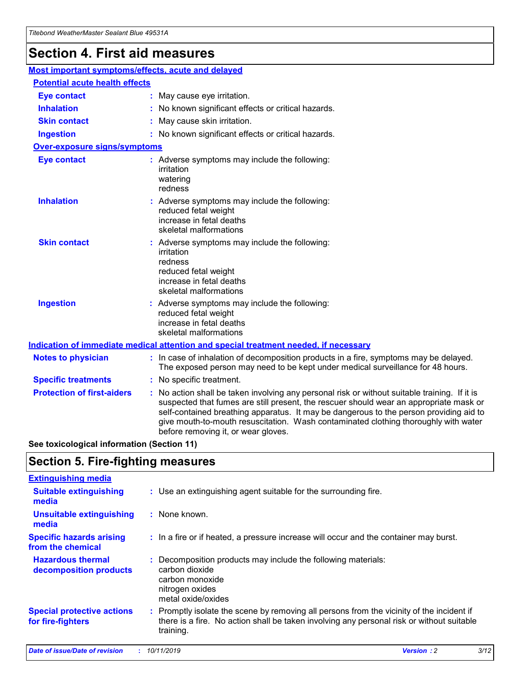## **Section 4. First aid measures**

| Most important symptoms/effects, acute and delayed |  |                                                                                                                                                                                                                                                                                                                                                                                                                 |  |
|----------------------------------------------------|--|-----------------------------------------------------------------------------------------------------------------------------------------------------------------------------------------------------------------------------------------------------------------------------------------------------------------------------------------------------------------------------------------------------------------|--|
| <b>Potential acute health effects</b>              |  |                                                                                                                                                                                                                                                                                                                                                                                                                 |  |
| <b>Eye contact</b>                                 |  | : May cause eye irritation.                                                                                                                                                                                                                                                                                                                                                                                     |  |
| <b>Inhalation</b>                                  |  | : No known significant effects or critical hazards.                                                                                                                                                                                                                                                                                                                                                             |  |
| <b>Skin contact</b>                                |  | : May cause skin irritation.                                                                                                                                                                                                                                                                                                                                                                                    |  |
| <b>Ingestion</b>                                   |  | : No known significant effects or critical hazards.                                                                                                                                                                                                                                                                                                                                                             |  |
| Over-exposure signs/symptoms                       |  |                                                                                                                                                                                                                                                                                                                                                                                                                 |  |
| <b>Eye contact</b>                                 |  | : Adverse symptoms may include the following:<br>irritation<br>watering<br>redness                                                                                                                                                                                                                                                                                                                              |  |
| <b>Inhalation</b>                                  |  | : Adverse symptoms may include the following:<br>reduced fetal weight<br>increase in fetal deaths<br>skeletal malformations                                                                                                                                                                                                                                                                                     |  |
| <b>Skin contact</b>                                |  | : Adverse symptoms may include the following:<br>irritation<br>redness<br>reduced fetal weight<br>increase in fetal deaths<br>skeletal malformations                                                                                                                                                                                                                                                            |  |
| <b>Ingestion</b>                                   |  | : Adverse symptoms may include the following:<br>reduced fetal weight<br>increase in fetal deaths<br>skeletal malformations                                                                                                                                                                                                                                                                                     |  |
|                                                    |  | <b>Indication of immediate medical attention and special treatment needed, if necessary</b>                                                                                                                                                                                                                                                                                                                     |  |
| <b>Notes to physician</b>                          |  | : In case of inhalation of decomposition products in a fire, symptoms may be delayed.<br>The exposed person may need to be kept under medical surveillance for 48 hours.                                                                                                                                                                                                                                        |  |
| <b>Specific treatments</b>                         |  | : No specific treatment.                                                                                                                                                                                                                                                                                                                                                                                        |  |
| <b>Protection of first-aiders</b>                  |  | : No action shall be taken involving any personal risk or without suitable training. If it is<br>suspected that fumes are still present, the rescuer should wear an appropriate mask or<br>self-contained breathing apparatus. It may be dangerous to the person providing aid to<br>give mouth-to-mouth resuscitation. Wash contaminated clothing thoroughly with water<br>before removing it, or wear gloves. |  |

**See toxicological information (Section 11)**

### **Section 5. Fire-fighting measures**

| <b>Extinguishing media</b>                             |                                                                                                                                                                                                     |
|--------------------------------------------------------|-----------------------------------------------------------------------------------------------------------------------------------------------------------------------------------------------------|
| <b>Suitable extinguishing</b><br>media                 | : Use an extinguishing agent suitable for the surrounding fire.                                                                                                                                     |
| <b>Unsuitable extinguishing</b><br>media               | $:$ None known.                                                                                                                                                                                     |
| <b>Specific hazards arising</b><br>from the chemical   | : In a fire or if heated, a pressure increase will occur and the container may burst.                                                                                                               |
| <b>Hazardous thermal</b><br>decomposition products     | : Decomposition products may include the following materials:<br>carbon dioxide<br>carbon monoxide<br>nitrogen oxides<br>metal oxide/oxides                                                         |
| <b>Special protective actions</b><br>for fire-fighters | : Promptly isolate the scene by removing all persons from the vicinity of the incident if<br>there is a fire. No action shall be taken involving any personal risk or without suitable<br>training. |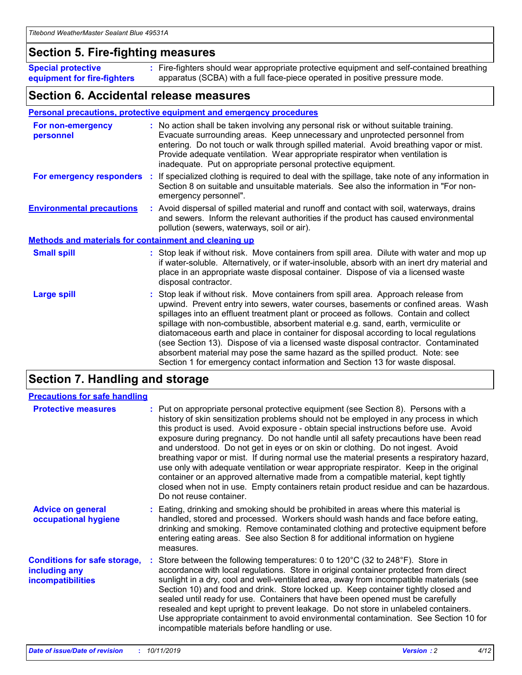### **Section 5. Fire-fighting measures**

**Special protective equipment for fire-fighters** Fire-fighters should wear appropriate protective equipment and self-contained breathing **:** apparatus (SCBA) with a full face-piece operated in positive pressure mode.

### **Section 6. Accidental release measures**

#### **Personal precautions, protective equipment and emergency procedures**

| For non-emergency<br>personnel                               |  | : No action shall be taken involving any personal risk or without suitable training.<br>Evacuate surrounding areas. Keep unnecessary and unprotected personnel from<br>entering. Do not touch or walk through spilled material. Avoid breathing vapor or mist.<br>Provide adequate ventilation. Wear appropriate respirator when ventilation is<br>inadequate. Put on appropriate personal protective equipment.                                                                                                                                                                                                                                                                                             |  |  |
|--------------------------------------------------------------|--|--------------------------------------------------------------------------------------------------------------------------------------------------------------------------------------------------------------------------------------------------------------------------------------------------------------------------------------------------------------------------------------------------------------------------------------------------------------------------------------------------------------------------------------------------------------------------------------------------------------------------------------------------------------------------------------------------------------|--|--|
|                                                              |  | For emergency responders : If specialized clothing is required to deal with the spillage, take note of any information in<br>Section 8 on suitable and unsuitable materials. See also the information in "For non-<br>emergency personnel".                                                                                                                                                                                                                                                                                                                                                                                                                                                                  |  |  |
| <b>Environmental precautions</b>                             |  | : Avoid dispersal of spilled material and runoff and contact with soil, waterways, drains<br>and sewers. Inform the relevant authorities if the product has caused environmental<br>pollution (sewers, waterways, soil or air).                                                                                                                                                                                                                                                                                                                                                                                                                                                                              |  |  |
| <b>Methods and materials for containment and cleaning up</b> |  |                                                                                                                                                                                                                                                                                                                                                                                                                                                                                                                                                                                                                                                                                                              |  |  |
| <b>Small spill</b>                                           |  | : Stop leak if without risk. Move containers from spill area. Dilute with water and mop up<br>if water-soluble. Alternatively, or if water-insoluble, absorb with an inert dry material and<br>place in an appropriate waste disposal container. Dispose of via a licensed waste<br>disposal contractor.                                                                                                                                                                                                                                                                                                                                                                                                     |  |  |
| <b>Large spill</b>                                           |  | : Stop leak if without risk. Move containers from spill area. Approach release from<br>upwind. Prevent entry into sewers, water courses, basements or confined areas. Wash<br>spillages into an effluent treatment plant or proceed as follows. Contain and collect<br>spillage with non-combustible, absorbent material e.g. sand, earth, vermiculite or<br>diatomaceous earth and place in container for disposal according to local regulations<br>(see Section 13). Dispose of via a licensed waste disposal contractor. Contaminated<br>absorbent material may pose the same hazard as the spilled product. Note: see<br>Section 1 for emergency contact information and Section 13 for waste disposal. |  |  |

### **Section 7. Handling and storage**

| <b>Precautions for safe handling</b>                                             |                                                                                                                                                                                                                                                                                                                                                                                                                                                                                                                                                                                                                                                                                                                                                                                                                                                  |
|----------------------------------------------------------------------------------|--------------------------------------------------------------------------------------------------------------------------------------------------------------------------------------------------------------------------------------------------------------------------------------------------------------------------------------------------------------------------------------------------------------------------------------------------------------------------------------------------------------------------------------------------------------------------------------------------------------------------------------------------------------------------------------------------------------------------------------------------------------------------------------------------------------------------------------------------|
| <b>Protective measures</b>                                                       | : Put on appropriate personal protective equipment (see Section 8). Persons with a<br>history of skin sensitization problems should not be employed in any process in which<br>this product is used. Avoid exposure - obtain special instructions before use. Avoid<br>exposure during pregnancy. Do not handle until all safety precautions have been read<br>and understood. Do not get in eyes or on skin or clothing. Do not ingest. Avoid<br>breathing vapor or mist. If during normal use the material presents a respiratory hazard,<br>use only with adequate ventilation or wear appropriate respirator. Keep in the original<br>container or an approved alternative made from a compatible material, kept tightly<br>closed when not in use. Empty containers retain product residue and can be hazardous.<br>Do not reuse container. |
| <b>Advice on general</b><br>occupational hygiene                                 | : Eating, drinking and smoking should be prohibited in areas where this material is<br>handled, stored and processed. Workers should wash hands and face before eating,<br>drinking and smoking. Remove contaminated clothing and protective equipment before<br>entering eating areas. See also Section 8 for additional information on hygiene<br>measures.                                                                                                                                                                                                                                                                                                                                                                                                                                                                                    |
| <b>Conditions for safe storage,</b><br>including any<br><b>incompatibilities</b> | Store between the following temperatures: 0 to 120 $\degree$ C (32 to 248 $\degree$ F). Store in<br>accordance with local regulations. Store in original container protected from direct<br>sunlight in a dry, cool and well-ventilated area, away from incompatible materials (see<br>Section 10) and food and drink. Store locked up. Keep container tightly closed and<br>sealed until ready for use. Containers that have been opened must be carefully<br>resealed and kept upright to prevent leakage. Do not store in unlabeled containers.<br>Use appropriate containment to avoid environmental contamination. See Section 10 for<br>incompatible materials before handling or use.                                                                                                                                                     |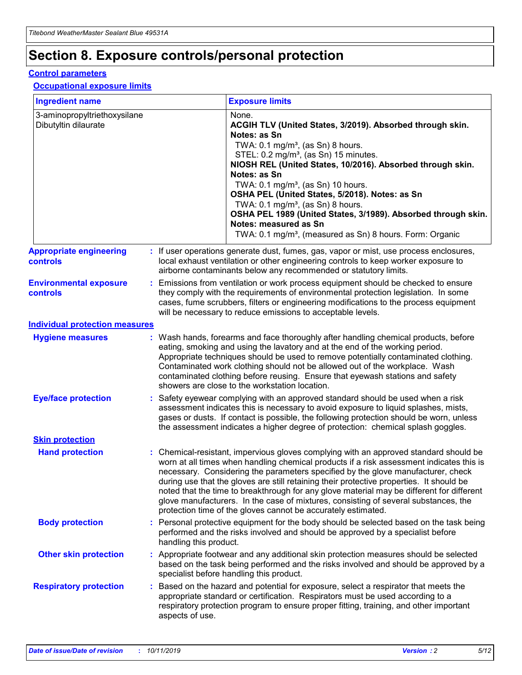## **Section 8. Exposure controls/personal protection**

#### **Control parameters**

#### **Occupational exposure limits**

| <b>Ingredient name</b>                               |    |                        | <b>Exposure limits</b>                                                                                                                                                                                                                                                                                                                                                                                                                                                                                                                                                                                                 |
|------------------------------------------------------|----|------------------------|------------------------------------------------------------------------------------------------------------------------------------------------------------------------------------------------------------------------------------------------------------------------------------------------------------------------------------------------------------------------------------------------------------------------------------------------------------------------------------------------------------------------------------------------------------------------------------------------------------------------|
| 3-aminopropyltriethoxysilane<br>Dibutyltin dilaurate |    |                        | None.<br>ACGIH TLV (United States, 3/2019). Absorbed through skin.<br>Notes: as Sn<br>TWA: $0.1 \text{ mg/m}^3$ , (as Sn) 8 hours.<br>STEL: 0.2 mg/m <sup>3</sup> , (as Sn) 15 minutes.<br>NIOSH REL (United States, 10/2016). Absorbed through skin.<br>Notes: as Sn<br>TWA: 0.1 mg/m <sup>3</sup> , (as Sn) 10 hours.<br>OSHA PEL (United States, 5/2018). Notes: as Sn<br>TWA: 0.1 mg/m <sup>3</sup> , (as Sn) 8 hours.<br>OSHA PEL 1989 (United States, 3/1989). Absorbed through skin.<br>Notes: measured as Sn<br>TWA: 0.1 mg/m <sup>3</sup> , (measured as Sn) 8 hours. Form: Organic                           |
| <b>Appropriate engineering</b><br>controls           |    |                        | : If user operations generate dust, fumes, gas, vapor or mist, use process enclosures,<br>local exhaust ventilation or other engineering controls to keep worker exposure to<br>airborne contaminants below any recommended or statutory limits.                                                                                                                                                                                                                                                                                                                                                                       |
| <b>Environmental exposure</b><br>controls            |    |                        | Emissions from ventilation or work process equipment should be checked to ensure<br>they comply with the requirements of environmental protection legislation. In some<br>cases, fume scrubbers, filters or engineering modifications to the process equipment<br>will be necessary to reduce emissions to acceptable levels.                                                                                                                                                                                                                                                                                          |
| <b>Individual protection measures</b>                |    |                        |                                                                                                                                                                                                                                                                                                                                                                                                                                                                                                                                                                                                                        |
| <b>Hygiene measures</b>                              |    |                        | : Wash hands, forearms and face thoroughly after handling chemical products, before<br>eating, smoking and using the lavatory and at the end of the working period.<br>Appropriate techniques should be used to remove potentially contaminated clothing.<br>Contaminated work clothing should not be allowed out of the workplace. Wash<br>contaminated clothing before reusing. Ensure that eyewash stations and safety<br>showers are close to the workstation location.                                                                                                                                            |
| <b>Eye/face protection</b>                           |    |                        | Safety eyewear complying with an approved standard should be used when a risk<br>assessment indicates this is necessary to avoid exposure to liquid splashes, mists,<br>gases or dusts. If contact is possible, the following protection should be worn, unless<br>the assessment indicates a higher degree of protection: chemical splash goggles.                                                                                                                                                                                                                                                                    |
| <b>Skin protection</b>                               |    |                        |                                                                                                                                                                                                                                                                                                                                                                                                                                                                                                                                                                                                                        |
| <b>Hand protection</b>                               |    |                        | : Chemical-resistant, impervious gloves complying with an approved standard should be<br>worn at all times when handling chemical products if a risk assessment indicates this is<br>necessary. Considering the parameters specified by the glove manufacturer, check<br>during use that the gloves are still retaining their protective properties. It should be<br>noted that the time to breakthrough for any glove material may be different for different<br>glove manufacturers. In the case of mixtures, consisting of several substances, the<br>protection time of the gloves cannot be accurately estimated. |
| <b>Body protection</b>                               |    | handling this product. | Personal protective equipment for the body should be selected based on the task being<br>performed and the risks involved and should be approved by a specialist before                                                                                                                                                                                                                                                                                                                                                                                                                                                |
| <b>Other skin protection</b>                         |    |                        | : Appropriate footwear and any additional skin protection measures should be selected<br>based on the task being performed and the risks involved and should be approved by a<br>specialist before handling this product.                                                                                                                                                                                                                                                                                                                                                                                              |
| <b>Respiratory protection</b>                        | ÷. | aspects of use.        | Based on the hazard and potential for exposure, select a respirator that meets the<br>appropriate standard or certification. Respirators must be used according to a<br>respiratory protection program to ensure proper fitting, training, and other important                                                                                                                                                                                                                                                                                                                                                         |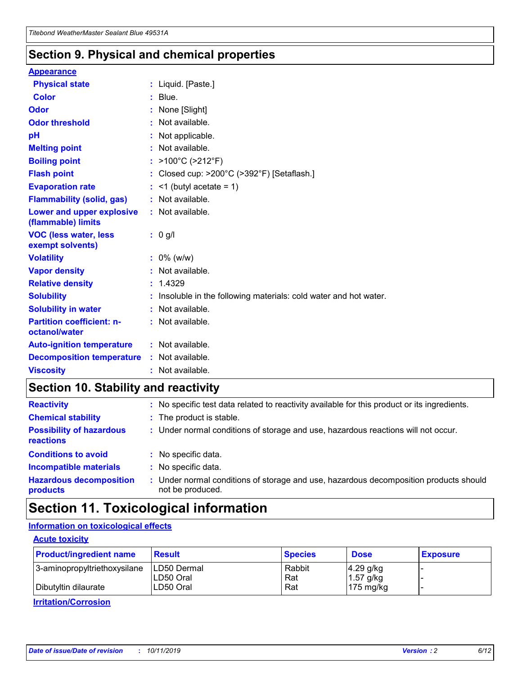### **Section 9. Physical and chemical properties**

#### **Appearance**

| <b>Physical state</b>                             | : Liquid. [Paste.]                                              |
|---------------------------------------------------|-----------------------------------------------------------------|
| <b>Color</b>                                      | $:$ Blue.                                                       |
| Odor                                              | : None [Slight]                                                 |
| <b>Odor threshold</b>                             | $:$ Not available.                                              |
| рH                                                | : Not applicable.                                               |
| <b>Melting point</b>                              | : Not available.                                                |
| <b>Boiling point</b>                              | : $>100^{\circ}$ C ( $>212^{\circ}$ F)                          |
| <b>Flash point</b>                                | Closed cup: >200°C (>392°F) [Setaflash.]                        |
| <b>Evaporation rate</b>                           | $:$ <1 (butyl acetate = 1)                                      |
| <b>Flammability (solid, gas)</b>                  | : Not available.                                                |
| Lower and upper explosive<br>(flammable) limits   | : Not available.                                                |
| <b>VOC (less water, less)</b><br>exempt solvents) | $: 0$ g/l                                                       |
| <b>Volatility</b>                                 | $: 0\%$ (w/w)                                                   |
| <b>Vapor density</b>                              | : Not available.                                                |
| <b>Relative density</b>                           | : 1.4329                                                        |
| <b>Solubility</b>                                 | Insoluble in the following materials: cold water and hot water. |
| <b>Solubility in water</b>                        | : Not available.                                                |
| <b>Partition coefficient: n-</b><br>octanol/water | $:$ Not available.                                              |
|                                                   |                                                                 |
| <b>Auto-ignition temperature</b>                  | : Not available.                                                |
| <b>Decomposition temperature</b>                  | $:$ Not available.                                              |

### **Section 10. Stability and reactivity**

| <b>Reactivity</b>                            | : No specific test data related to reactivity available for this product or its ingredients.            |
|----------------------------------------------|---------------------------------------------------------------------------------------------------------|
| <b>Chemical stability</b>                    | : The product is stable.                                                                                |
| <b>Possibility of hazardous</b><br>reactions | : Under normal conditions of storage and use, hazardous reactions will not occur.                       |
| <b>Conditions to avoid</b>                   | : No specific data.                                                                                     |
| <b>Incompatible materials</b>                | : No specific data.                                                                                     |
| <b>Hazardous decomposition</b><br>products   | Under normal conditions of storage and use, hazardous decomposition products should<br>not be produced. |

### **Section 11. Toxicological information**

### **Information on toxicological effects**

#### **Acute toxicity**

| <b>Product/ingredient name</b> | <b>Result</b>           | <b>Species</b> | <b>Dose</b>                | <b>Exposure</b> |
|--------------------------------|-------------------------|----------------|----------------------------|-----------------|
| 3-aminopropyltriethoxysilane   | <b>ILD50 Dermal</b>     | Rabbit         | 4.29 g/kg                  |                 |
| Dibutyltin dilaurate           | ILD50 Oral<br>LD50 Oral | Rat<br>Rat     | $1.57$ g/kg<br>175 $mg/kg$ |                 |
|                                |                         |                |                            |                 |

**Irritation/Corrosion**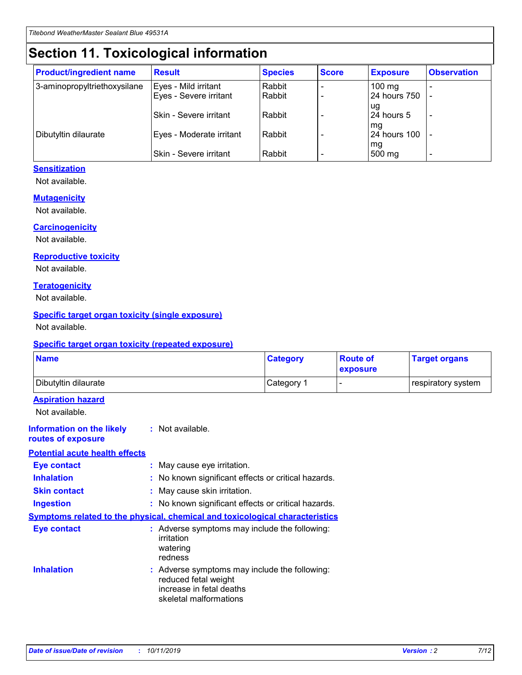## **Section 11. Toxicological information**

| <b>Product/ingredient name</b> | <b>Result</b>                 | <b>Species</b> | <b>Score</b> | <b>Exposure</b>    | <b>Observation</b> |
|--------------------------------|-------------------------------|----------------|--------------|--------------------|--------------------|
| 3-aminopropyltriethoxysilane   | Eyes - Mild irritant          | Rabbit         |              | $100$ mg           |                    |
|                                | Eyes - Severe irritant        | Rabbit         |              | 24 hours 750       |                    |
|                                |                               |                |              | ug                 |                    |
|                                | <b>Skin - Severe irritant</b> | Rabbit         |              | 24 hours 5         | ۰                  |
| Dibutyltin dilaurate           | Eyes - Moderate irritant      | Rabbit         |              | mq<br>24 hours 100 |                    |
|                                |                               |                |              | mg                 |                    |
|                                | Skin - Severe irritant        | Rabbit         |              | 500 mg             |                    |

#### **Sensitization**

Not available.

#### **Mutagenicity**

Not available.

#### **Carcinogenicity**

Not available.

#### **Reproductive toxicity**

Not available.

#### **Teratogenicity**

Not available.

#### **Specific target organ toxicity (single exposure)**

Not available.

#### **Specific target organ toxicity (repeated exposure)**

| <b>Name</b>                                                                  |                                                                            | <b>Category</b>                                     | <b>Route of</b><br>exposure | <b>Target organs</b> |
|------------------------------------------------------------------------------|----------------------------------------------------------------------------|-----------------------------------------------------|-----------------------------|----------------------|
| Dibutyltin dilaurate                                                         |                                                                            | Category 1                                          | -                           | respiratory system   |
| <b>Aspiration hazard</b><br>Not available.                                   |                                                                            |                                                     |                             |                      |
| <b>Information on the likely</b><br>routes of exposure                       | : Not available.                                                           |                                                     |                             |                      |
| <b>Potential acute health effects</b>                                        |                                                                            |                                                     |                             |                      |
| <b>Eye contact</b>                                                           | : May cause eye irritation.                                                |                                                     |                             |                      |
| <b>Inhalation</b>                                                            |                                                                            | : No known significant effects or critical hazards. |                             |                      |
| <b>Skin contact</b>                                                          | : May cause skin irritation.                                               |                                                     |                             |                      |
| <b>Ingestion</b>                                                             |                                                                            | : No known significant effects or critical hazards. |                             |                      |
| Symptoms related to the physical, chemical and toxicological characteristics |                                                                            |                                                     |                             |                      |
| <b>Eye contact</b>                                                           | irritation<br>watering<br>redness                                          | : Adverse symptoms may include the following:       |                             |                      |
| <b>Inhalation</b>                                                            | reduced fetal weight<br>increase in fetal deaths<br>skeletal malformations | : Adverse symptoms may include the following:       |                             |                      |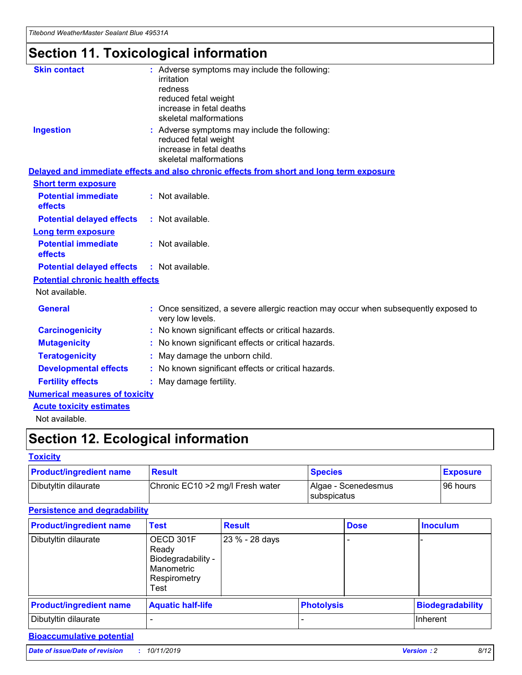## **Section 11. Toxicological information**

| <b>Skin contact</b>                     | : Adverse symptoms may include the following:<br>irritation<br>redness<br>reduced fetal weight<br>increase in fetal deaths<br>skeletal malformations |
|-----------------------------------------|------------------------------------------------------------------------------------------------------------------------------------------------------|
| <b>Ingestion</b>                        | : Adverse symptoms may include the following:<br>reduced fetal weight<br>increase in fetal deaths<br>skeletal malformations                          |
|                                         | Delayed and immediate effects and also chronic effects from short and long term exposure                                                             |
| <b>Short term exposure</b>              |                                                                                                                                                      |
| <b>Potential immediate</b><br>effects   | : Not available.                                                                                                                                     |
| <b>Potential delayed effects</b>        | : Not available.                                                                                                                                     |
| <b>Long term exposure</b>               |                                                                                                                                                      |
| <b>Potential immediate</b><br>effects   | : Not available.                                                                                                                                     |
| <b>Potential delayed effects</b>        | : Not available.                                                                                                                                     |
| <b>Potential chronic health effects</b> |                                                                                                                                                      |
| Not available.                          |                                                                                                                                                      |
| <b>General</b>                          | : Once sensitized, a severe allergic reaction may occur when subsequently exposed to<br>very low levels.                                             |
| <b>Carcinogenicity</b>                  | : No known significant effects or critical hazards.                                                                                                  |
| <b>Mutagenicity</b>                     | No known significant effects or critical hazards.                                                                                                    |
| <b>Teratogenicity</b>                   | May damage the unborn child.                                                                                                                         |
| <b>Developmental effects</b>            | No known significant effects or critical hazards.                                                                                                    |
| <b>Fertility effects</b>                | : May damage fertility.                                                                                                                              |
| <b>Numerical measures of toxicity</b>   |                                                                                                                                                      |
| <b>Acute toxicity estimates</b>         |                                                                                                                                                      |
|                                         |                                                                                                                                                      |

Not available.

## **Section 12. Ecological information**

#### **Toxicity**

| <b>Product/ingredient name</b> | <b>Result</b>                     | <b>Species</b>                       | <b>Exposure</b> |
|--------------------------------|-----------------------------------|--------------------------------------|-----------------|
| Dibutyltin dilaurate           | Chronic EC10 > 2 mg/l Fresh water | Algae - Scenedesmus<br>I subspicatus | l 96 hours      |

### **Persistence and degradability**

| <b>Product/ingredient name</b> | <b>Test</b>                                                                    | <b>Result</b>  |                   | <b>Dose</b> | <b>Inoculum</b>         |
|--------------------------------|--------------------------------------------------------------------------------|----------------|-------------------|-------------|-------------------------|
| Dibutyltin dilaurate           | OECD 301F<br>Ready<br>Biodegradability -<br>Manometric<br>Respirometry<br>Test | 23 % - 28 days |                   |             |                         |
| <b>Product/ingredient name</b> | <b>Aquatic half-life</b>                                                       |                | <b>Photolysis</b> |             | <b>Biodegradability</b> |
| Dibutyltin dilaurate           |                                                                                |                |                   |             | Inherent                |

### **Bioaccumulative potential**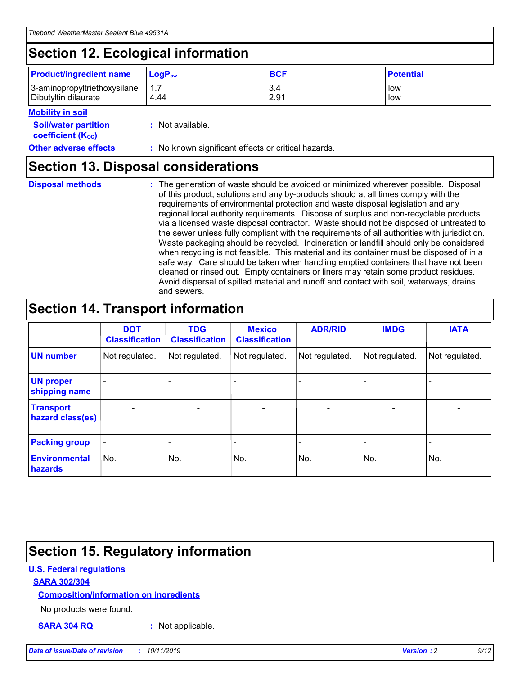## **Section 12. Ecological information**

| <b>Product/ingredient name</b> | $LoaPow$ | <b>BCF</b> | <b>Potential</b> |
|--------------------------------|----------|------------|------------------|
| 3-aminopropyltriethoxysilane   | 1.7      | 3.4        | low              |
| Dibutyltin dilaurate           | 4.44     | 2.91       | low              |

#### **Mobility in soil**

| <i></i>                                                       |                                                     |
|---------------------------------------------------------------|-----------------------------------------------------|
| <b>Soil/water partition</b><br>coefficient (K <sub>oc</sub> ) | : Not available.                                    |
| <b>Other adverse effects</b>                                  | : No known significant effects or critical hazards. |

### **Section 13. Disposal considerations**

**Disposal methods :**

The generation of waste should be avoided or minimized wherever possible. Disposal of this product, solutions and any by-products should at all times comply with the requirements of environmental protection and waste disposal legislation and any regional local authority requirements. Dispose of surplus and non-recyclable products via a licensed waste disposal contractor. Waste should not be disposed of untreated to the sewer unless fully compliant with the requirements of all authorities with jurisdiction. Waste packaging should be recycled. Incineration or landfill should only be considered when recycling is not feasible. This material and its container must be disposed of in a safe way. Care should be taken when handling emptied containers that have not been cleaned or rinsed out. Empty containers or liners may retain some product residues. Avoid dispersal of spilled material and runoff and contact with soil, waterways, drains and sewers.

## **Section 14. Transport information**

|                                      | <b>DOT</b><br><b>Classification</b> | <b>TDG</b><br><b>Classification</b> | <b>Mexico</b><br><b>Classification</b> | <b>ADR/RID</b>           | <b>IMDG</b>              | <b>IATA</b>              |
|--------------------------------------|-------------------------------------|-------------------------------------|----------------------------------------|--------------------------|--------------------------|--------------------------|
| <b>UN number</b>                     | Not regulated.                      | Not regulated.                      | Not regulated.                         | Not regulated.           | Not regulated.           | Not regulated.           |
| <b>UN proper</b><br>shipping name    | $\qquad \qquad$                     |                                     |                                        |                          |                          |                          |
| <b>Transport</b><br>hazard class(es) | $\blacksquare$                      | $\blacksquare$                      | $\blacksquare$                         | $\overline{\phantom{a}}$ | $\blacksquare$           | $\blacksquare$           |
| <b>Packing group</b>                 | $\overline{\phantom{a}}$            | $\overline{\phantom{0}}$            | $\overline{\phantom{0}}$               | -                        | $\overline{\phantom{0}}$ | $\overline{\phantom{a}}$ |
| <b>Environmental</b><br>hazards      | No.                                 | No.                                 | No.                                    | No.                      | No.                      | No.                      |

## **Section 15. Regulatory information**

#### **U.S. Federal regulations**

#### **SARA 302/304**

#### **Composition/information on ingredients**

No products were found.

**SARA 304 RQ :** Not applicable.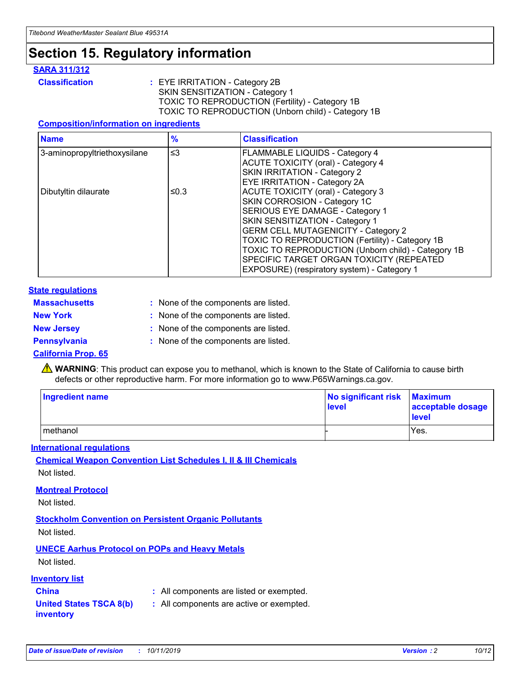## **Section 15. Regulatory information**

#### **SARA 311/312**

**Classification :** EYE IRRITATION - Category 2B SKIN SENSITIZATION - Category 1 TOXIC TO REPRODUCTION (Fertility) - Category 1B TOXIC TO REPRODUCTION (Unborn child) - Category 1B

#### **Composition/information on ingredients**

| <b>Name</b>                              | $\frac{9}{6}$ | <b>Classification</b>                                                                                            |
|------------------------------------------|---------------|------------------------------------------------------------------------------------------------------------------|
| $\leq$ 3<br>3-aminopropyltriethoxysilane |               | <b>FLAMMABLE LIQUIDS - Category 4</b><br><b>ACUTE TOXICITY (oral) - Category 4</b>                               |
|                                          |               | SKIN IRRITATION - Category 2<br>EYE IRRITATION - Category 2A                                                     |
| Dibutyltin dilaurate                     | ≤0.3          | ACUTE TOXICITY (oral) - Category 3<br>SKIN CORROSION - Category 1C                                               |
|                                          |               | SERIOUS EYE DAMAGE - Category 1<br>SKIN SENSITIZATION - Category 1<br><b>GERM CELL MUTAGENICITY - Category 2</b> |
|                                          |               | TOXIC TO REPRODUCTION (Fertility) - Category 1B<br>TOXIC TO REPRODUCTION (Unborn child) - Category 1B            |
|                                          |               | SPECIFIC TARGET ORGAN TOXICITY (REPEATED<br>EXPOSURE) (respiratory system) - Category 1                          |

#### **State regulations**

| <b>Massachusetts</b> | : None of the components are listed. |
|----------------------|--------------------------------------|
| <b>New York</b>      | : None of the components are listed. |
| <b>New Jersey</b>    | : None of the components are listed. |
| <b>Pennsylvania</b>  | : None of the components are listed. |

#### **California Prop. 65**

**A** WARNING: This product can expose you to methanol, which is known to the State of California to cause birth defects or other reproductive harm. For more information go to www.P65Warnings.ca.gov.

| <b>Ingredient name</b> | No significant risk Maximum<br>level | acceptable dosage<br>level |
|------------------------|--------------------------------------|----------------------------|
| methanol               |                                      | Yes.                       |

#### **International regulations**

**Chemical Weapon Convention List Schedules I, II & III Chemicals** Not listed.

#### **Montreal Protocol**

Not listed.

#### **Stockholm Convention on Persistent Organic Pollutants**

Not listed.

### **UNECE Aarhus Protocol on POPs and Heavy Metals**

Not listed.

#### **Inventory list**

### **China :** All components are listed or exempted.

**United States TSCA 8(b) inventory :** All components are active or exempted.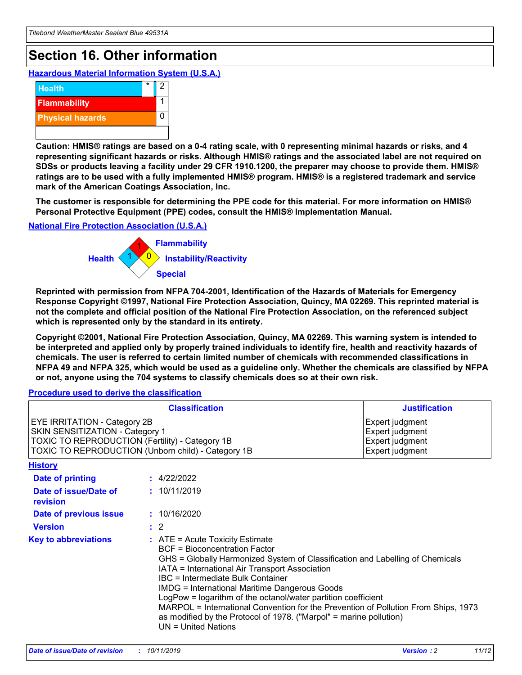## **Section 16. Other information**

**Hazardous Material Information System (U.S.A.)**



**Caution: HMIS® ratings are based on a 0-4 rating scale, with 0 representing minimal hazards or risks, and 4 representing significant hazards or risks. Although HMIS® ratings and the associated label are not required on SDSs or products leaving a facility under 29 CFR 1910.1200, the preparer may choose to provide them. HMIS® ratings are to be used with a fully implemented HMIS® program. HMIS® is a registered trademark and service mark of the American Coatings Association, Inc.**

**The customer is responsible for determining the PPE code for this material. For more information on HMIS® Personal Protective Equipment (PPE) codes, consult the HMIS® Implementation Manual.**

#### **National Fire Protection Association (U.S.A.)**



**Reprinted with permission from NFPA 704-2001, Identification of the Hazards of Materials for Emergency Response Copyright ©1997, National Fire Protection Association, Quincy, MA 02269. This reprinted material is not the complete and official position of the National Fire Protection Association, on the referenced subject which is represented only by the standard in its entirety.**

**Copyright ©2001, National Fire Protection Association, Quincy, MA 02269. This warning system is intended to be interpreted and applied only by properly trained individuals to identify fire, health and reactivity hazards of chemicals. The user is referred to certain limited number of chemicals with recommended classifications in NFPA 49 and NFPA 325, which would be used as a guideline only. Whether the chemicals are classified by NFPA or not, anyone using the 704 systems to classify chemicals does so at their own risk.**

**Procedure used to derive the classification**

| <b>Classification</b>                                                                                                                                                    |                                                                                                                                                  | <b>Justification</b>                                                                                                                                                                                                                                                                                                                                                                                                 |  |
|--------------------------------------------------------------------------------------------------------------------------------------------------------------------------|--------------------------------------------------------------------------------------------------------------------------------------------------|----------------------------------------------------------------------------------------------------------------------------------------------------------------------------------------------------------------------------------------------------------------------------------------------------------------------------------------------------------------------------------------------------------------------|--|
| EYE IRRITATION - Category 2B<br>SKIN SENSITIZATION - Category 1<br>TOXIC TO REPRODUCTION (Fertility) - Category 1B<br>TOXIC TO REPRODUCTION (Unborn child) - Category 1B |                                                                                                                                                  | Expert judgment<br>Expert judgment<br>Expert judgment<br>Expert judgment                                                                                                                                                                                                                                                                                                                                             |  |
| <b>History</b>                                                                                                                                                           |                                                                                                                                                  |                                                                                                                                                                                                                                                                                                                                                                                                                      |  |
| Date of printing                                                                                                                                                         | : 4/22/2022                                                                                                                                      |                                                                                                                                                                                                                                                                                                                                                                                                                      |  |
| Date of issue/Date of<br>revision                                                                                                                                        | : 10/11/2019                                                                                                                                     |                                                                                                                                                                                                                                                                                                                                                                                                                      |  |
| Date of previous issue                                                                                                                                                   | : 10/16/2020                                                                                                                                     |                                                                                                                                                                                                                                                                                                                                                                                                                      |  |
| <b>Version</b>                                                                                                                                                           | $\therefore$ 2                                                                                                                                   |                                                                                                                                                                                                                                                                                                                                                                                                                      |  |
| <b>Key to abbreviations</b>                                                                                                                                              | $\therefore$ ATE = Acute Toxicity Estimate<br><b>BCF</b> = Bioconcentration Factor<br>IBC = Intermediate Bulk Container<br>$UN = United Nations$ | GHS = Globally Harmonized System of Classification and Labelling of Chemicals<br>IATA = International Air Transport Association<br><b>IMDG = International Maritime Dangerous Goods</b><br>LogPow = logarithm of the octanol/water partition coefficient<br>MARPOL = International Convention for the Prevention of Pollution From Ships, 1973<br>as modified by the Protocol of 1978. ("Marpol" = marine pollution) |  |